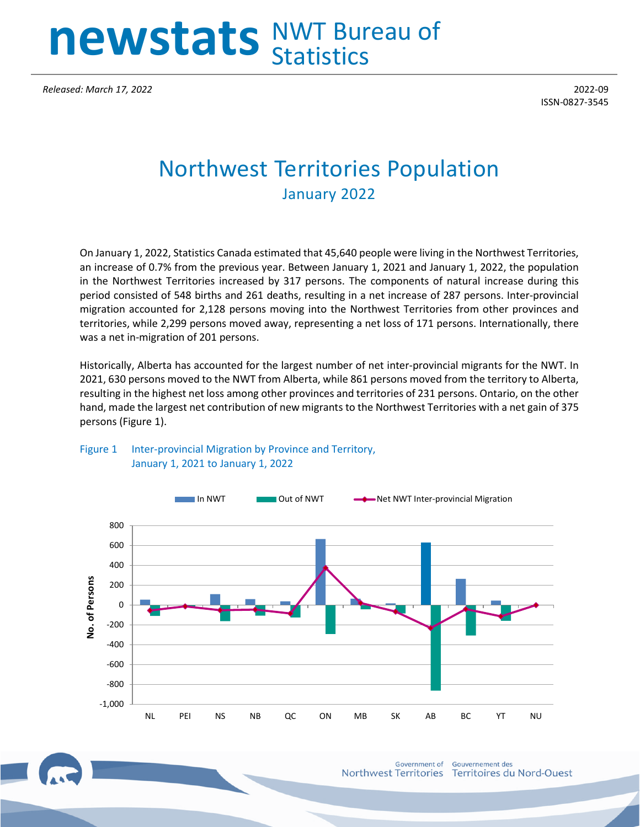# **newstats** NWT Bureau of **Statistics**

*Released: March 17, 2022* 2022-09

ISSN-0827-3545

## Northwest Territories Population January 2022

On January 1, 2022, Statistics Canada estimated that 45,640 people were living in the Northwest Territories, an increase of 0.7% from the previous year. Between January 1, 2021 and January 1, 2022, the population in the Northwest Territories increased by 317 persons. The components of natural increase during this period consisted of 548 births and 261 deaths, resulting in a net increase of 287 persons. Inter-provincial migration accounted for 2,128 persons moving into the Northwest Territories from other provinces and territories, while 2,299 persons moved away, representing a net loss of 171 persons. Internationally, there was a net in-migration of 201 persons.

Historically, Alberta has accounted for the largest number of net inter-provincial migrants for the NWT. In 2021, 630 persons moved to the NWT from Alberta, while 861 persons moved from the territory to Alberta, resulting in the highest net loss among other provinces and territories of 231 persons. Ontario, on the other hand, made the largest net contribution of new migrants to the Northwest Territories with a net gain of 375 persons (Figure 1).



#### Figure 1 Inter-provincial Migration by Province and Territory, January 1, 2021 to January 1, 2022

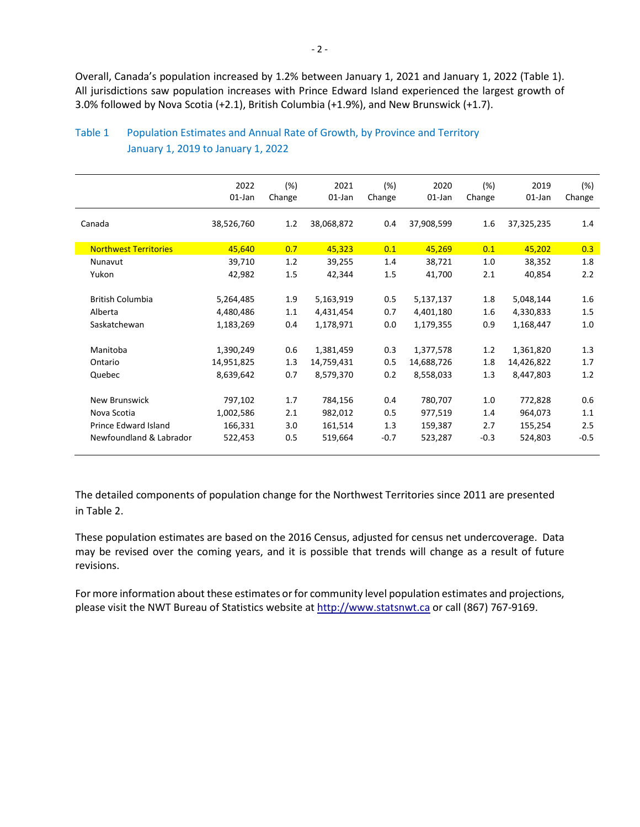Overall, Canada's population increased by 1.2% between January 1, 2021 and January 1, 2022 (Table 1). All jurisdictions saw population increases with Prince Edward Island experienced the largest growth of 3.0% followed by Nova Scotia (+2.1), British Columbia (+1.9%), and New Brunswick (+1.7).

|                              | 2022<br>$01$ -Jan | (%)<br>Change | 2021<br>$01$ -Jan | (%)<br>Change | 2020<br>01-Jan | $(\%)$<br>Change | 2019<br>$01$ -Jan | (%)<br>Change |
|------------------------------|-------------------|---------------|-------------------|---------------|----------------|------------------|-------------------|---------------|
| Canada                       | 38,526,760        | 1.2           | 38,068,872        | 0.4           | 37,908,599     | 1.6              | 37,325,235        | 1.4           |
| <b>Northwest Territories</b> | 45,640            | 0.7           | 45,323            | 0.1           | 45,269         | 0.1              | 45,202            | 0.3           |
| Nunavut                      | 39,710            | 1.2           | 39,255            | 1.4           | 38,721         | 1.0              | 38,352            | 1.8           |
| Yukon                        | 42,982            | 1.5           | 42,344            | 1.5           | 41,700         | 2.1              | 40,854            | 2.2           |
| <b>British Columbia</b>      | 5,264,485         | 1.9           | 5,163,919         | 0.5           | 5,137,137      | 1.8              | 5,048,144         | 1.6           |
| Alberta                      | 4,480,486         | 1.1           | 4,431,454         | 0.7           | 4,401,180      | $1.6\,$          | 4,330,833         | 1.5           |
| Saskatchewan                 | 1,183,269         | 0.4           | 1,178,971         | 0.0           | 1,179,355      | 0.9              | 1,168,447         | 1.0           |
| Manitoba                     | 1,390,249         | 0.6           | 1,381,459         | 0.3           | 1,377,578      | 1.2              | 1,361,820         | 1.3           |
| Ontario                      | 14,951,825        | 1.3           | 14,759,431        | 0.5           | 14,688,726     | 1.8              | 14,426,822        | 1.7           |
| Quebec                       | 8,639,642         | 0.7           | 8,579,370         | 0.2           | 8,558,033      | 1.3              | 8,447,803         | 1.2           |
| <b>New Brunswick</b>         | 797,102           | 1.7           | 784,156           | 0.4           | 780,707        | 1.0              | 772,828           | 0.6           |
| Nova Scotia                  | 1,002,586         | 2.1           | 982,012           | 0.5           | 977,519        | 1.4              | 964,073           | 1.1           |
| Prince Edward Island         | 166,331           | 3.0           | 161,514           | 1.3           | 159,387        | 2.7              | 155,254           | 2.5           |
| Newfoundland & Labrador      | 522,453           | 0.5           | 519,664           | $-0.7$        | 523,287        | $-0.3$           | 524,803           | $-0.5$        |

### Table 1 Population Estimates and Annual Rate of Growth, by Province and Territory January 1, 2019 to January 1, 2022

The detailed components of population change for the Northwest Territories since 2011 are presented in Table 2.

These population estimates are based on the 2016 Census, adjusted for census net undercoverage. Data may be revised over the coming years, and it is possible that trends will change as a result of future revisions.

For more information about these estimates or for community level population estimates and projections, please visit the NWT Bureau of Statistics website at http://www.statsnwt.ca or call (867) 767-9169.